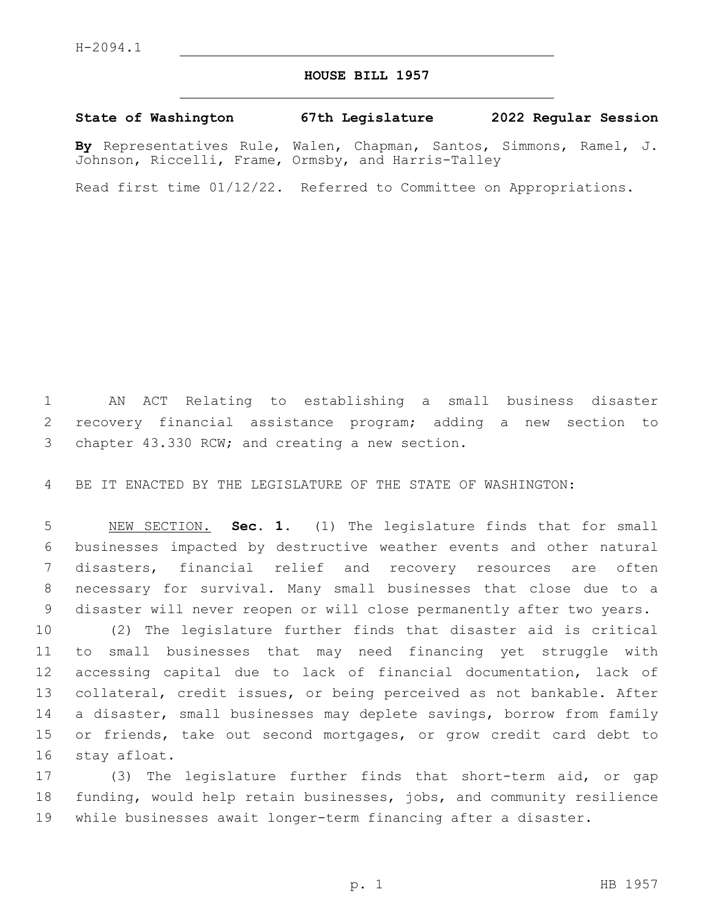## **HOUSE BILL 1957**

## **State of Washington 67th Legislature 2022 Regular Session**

**By** Representatives Rule, Walen, Chapman, Santos, Simmons, Ramel, J. Johnson, Riccelli, Frame, Ormsby, and Harris-Talley

Read first time 01/12/22. Referred to Committee on Appropriations.

 AN ACT Relating to establishing a small business disaster recovery financial assistance program; adding a new section to 3 chapter 43.330 RCW; and creating a new section.

BE IT ENACTED BY THE LEGISLATURE OF THE STATE OF WASHINGTON:

 NEW SECTION. **Sec. 1.** (1) The legislature finds that for small businesses impacted by destructive weather events and other natural disasters, financial relief and recovery resources are often necessary for survival. Many small businesses that close due to a disaster will never reopen or will close permanently after two years.

 (2) The legislature further finds that disaster aid is critical to small businesses that may need financing yet struggle with accessing capital due to lack of financial documentation, lack of collateral, credit issues, or being perceived as not bankable. After 14 a disaster, small businesses may deplete savings, borrow from family or friends, take out second mortgages, or grow credit card debt to 16 stay afloat.

 (3) The legislature further finds that short-term aid, or gap funding, would help retain businesses, jobs, and community resilience while businesses await longer-term financing after a disaster.